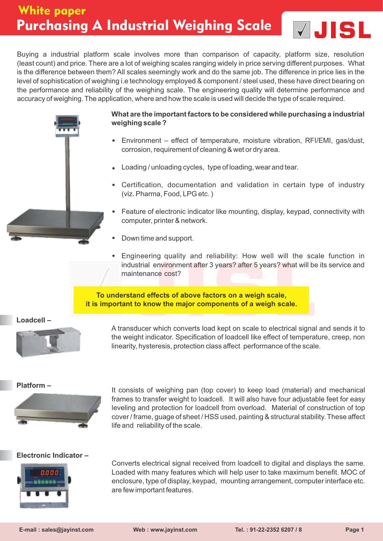

Buying a industrial platform scale involves more than comparison of capacity, platform size, resolution (least count) and price. There are a lot of weighing scales ranging widely in price serving different purposes. What is the difference between them? All scales seemingly work and do the same job. The difference in price lies in the level of sophistication of weighing i.e technology employed & component / steel used, these have direct bearing on the performance and reliability of the weighing scale. The engineering quality will determine performance and accuracy of weighing. The application, where and how the scale is used will decide the type of scale required.



#### **What are the important factors to be considered while purchasing a industrial weighing scale ?**

- Environment effect of temperature, moisture vibration, RFI/EMI, gas/dust, corrosion, requirement of cleaning & wet or dry area.
- Loading / unloading cycles, type of loading, wear and tear.
- Certification, documentation and validation in certain type of industry (viz. Pharma, Food, LPG etc. )
- Feature of electronic indicator like mounting, display, keypad, connectivity with computer, printer & network.
- Down time and support.
- Engineering quality and reliability: How well will the scale function in industrial environment after 3 years? after 5 years? what will be its service and maintenance cost?

**To understand effects of above factors on a weigh scale, it is important to know the major components of a weigh scale.** 

**Loadcell –**



A transducer which converts load kept on scale to electrical signal and sends it to the weight indicator. Specification of loadcell like effect of temperature, creep, non linearity, hysteresis, protection class affect performance of the scale.



**Platform –** It consists of weighing pan (top cover) to keep load (material) and mechanical frames to transfer weight to loadcell. It will also have four adjustable feet for easy leveling and protection for loadcell from overload. Material of construction of top cover / frame, guage of sheet / HSS used, painting & structural stability. These affect life and reliability of the scale.

#### **Electronic Indicator –**



Converts electrical signal received from loadcell to digital and displays the same. Loaded with many features which will help user to take maximum benefit. MOC of enclosure, type of display, keypad, mounting arrangement, computer interface etc. are few important features.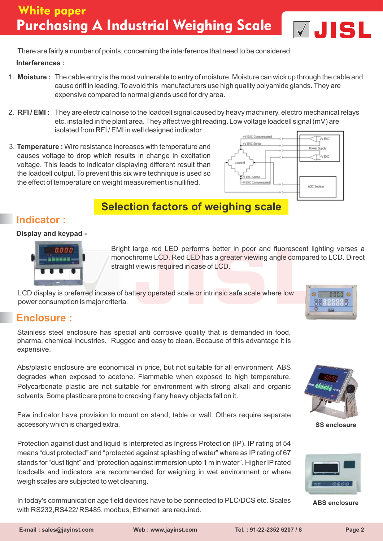

There are fairly a number of points, concerning the interference that need to be considered:

**Interferences :**

- 1. **Moisture :** The cable entry is the most vulnerable to entry of moisture. Moisture can wick up through the cable and cause drift in leading. To avoid this manufacturers use high quality polyamide glands. They are expensive compared to normal glands used for dry area.
- 2. **RFI / EMI :** They are electrical noise to the loadcell signal caused by heavy machinery, electro mechanical relays etc. installed in the plant area. They affect weight reading. Low voltage loadcell signal (mV) are isolated from RFI / EMI in well designed indicator
- 3. **Temperature :** Wire resistance increases with temperature and causes voltage to drop which results in change in excitation voltage. This leads to indicator displaying different result than the loadcell output. To prevent this six wire technique is used so the effect of temperature on weight measurement is nullified.



# **Selection factors of weighing scale**

## **Indicator :**

#### **Display and keypad -**



Bright large red LED performs better in poor and fluorescent lighting verses a monochrome LCD. Red LED has a greater viewing angle compared to LCD. Direct straight view is required in case of LCD.

LCD display is preferred incase of battery operated scale or intrinsic safe scale where low power consumption is major criteria.



## **Enclosure :**

Stainless steel enclosure has special anti corrosive quality that is demanded in food, pharma, chemical industries. Rugged and easy to clean. Because of this advantage it is expensive.

Abs/plastic enclosure are economical in price, but not suitable for all environment. ABS degrades when exposed to acetone. Flammable when exposed to high temperature. Polycarbonate plastic are not suitable for environment with strong alkali and organic solvents. Some plastic are prone to cracking if any heavy objects fall on it.

Few indicator have provision to mount on stand, table or wall. Others require separate accessory which is charged extra.

Protection against dust and liquid is interpreted as Ingress Protection (IP). IP rating of 54 means "dust protected" and "protected against splashing of water" where as IP rating of 67 stands for "dust tight" and "protection against immersion upto 1 m in water". Higher IPrated loadcells and indicators are recommended for weighing in wet environment or where weigh scales are subjected to wet cleaning.

In today's communication age field devices have to be connected to PLC/DCS etc. Scales with RS232,RS422/ RS485, modbus, Ethernet are required.



**SS enclosure**



**ABS enclosure**